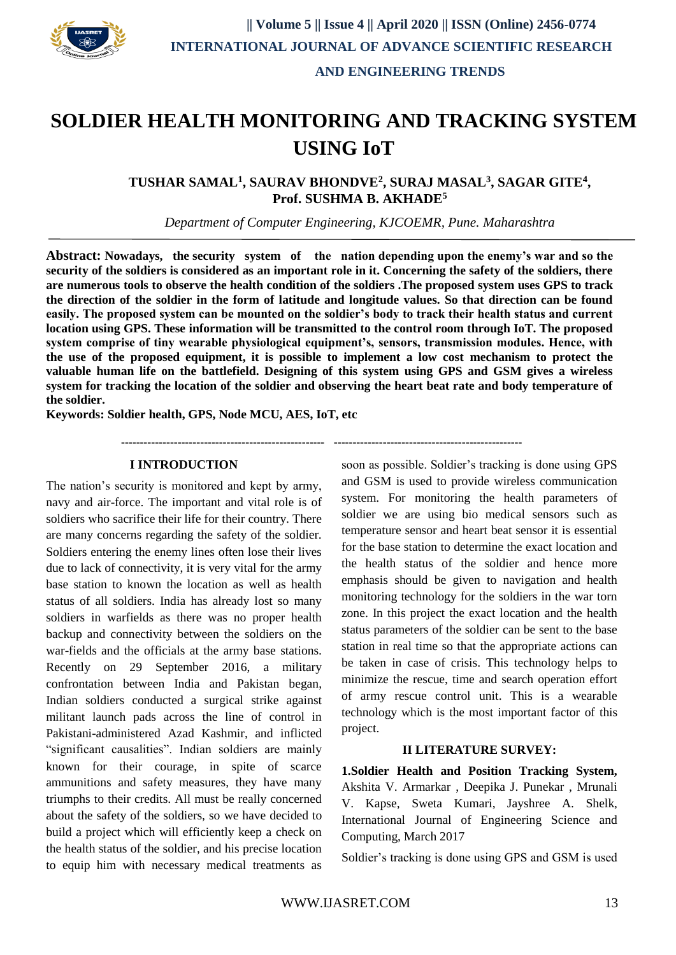

# **SOLDIER HEALTH MONITORING AND TRACKING SYSTEM USING IoT**

**TUSHAR SAMAL<sup>1</sup> , SAURAV BHONDVE<sup>2</sup> , SURAJ MASAL<sup>3</sup> , SAGAR GITE<sup>4</sup> , Prof. SUSHMA B. AKHADE<sup>5</sup>**

*Department of Computer Engineering, KJCOEMR, Pune. Maharashtra*

**Abstract: Nowadays, the security system of the nation depending upon the enemy's war and so the security of the soldiers is considered as an important role in it. Concerning the safety of the soldiers, there are numerous tools to observe the health condition of the soldiers .The proposed system uses GPS to track the direction of the soldier in the form of latitude and longitude values. So that direction can be found easily. The proposed system can be mounted on the soldier's body to track their health status and current location using GPS. These information will be transmitted to the control room through IoT. The proposed system comprise of tiny wearable physiological equipment's, sensors, transmission modules. Hence, with the use of the proposed equipment, it is possible to implement a low cost mechanism to protect the valuable human life on the battlefield. Designing of this system using GPS and GSM gives a wireless system for tracking the location of the soldier and observing the heart beat rate and body temperature of the soldier.**

**Keywords: Soldier health, GPS, Node MCU, AES, IoT, etc**

**------------------------------------------------------ --------------------------------------------------**

#### **I INTRODUCTION**

The nation's security is monitored and kept by army, navy and air-force. The important and vital role is of soldiers who sacrifice their life for their country. There are many concerns regarding the safety of the soldier. Soldiers entering the enemy lines often lose their lives due to lack of connectivity, it is very vital for the army base station to known the location as well as health status of all soldiers. India has already lost so many soldiers in warfields as there was no proper health backup and connectivity between the soldiers on the war-fields and the officials at the army base stations. Recently on 29 September 2016, a military confrontation between India and Pakistan began, Indian soldiers conducted a surgical strike against militant launch pads across the line of control in Pakistani-administered Azad Kashmir, and inflicted "significant causalities". Indian soldiers are mainly known for their courage, in spite of scarce ammunitions and safety measures, they have many triumphs to their credits. All must be really concerned about the safety of the soldiers, so we have decided to build a project which will efficiently keep a check on the health status of the soldier, and his precise location to equip him with necessary medical treatments as soon as possible. Soldier's tracking is done using GPS and GSM is used to provide wireless communication system. For monitoring the health parameters of soldier we are using bio medical sensors such as temperature sensor and heart beat sensor it is essential for the base station to determine the exact location and the health status of the soldier and hence more emphasis should be given to navigation and health monitoring technology for the soldiers in the war torn zone. In this project the exact location and the health status parameters of the soldier can be sent to the base station in real time so that the appropriate actions can be taken in case of crisis. This technology helps to minimize the rescue, time and search operation effort of army rescue control unit. This is a wearable technology which is the most important factor of this project.

#### **II LITERATURE SURVEY:**

**1.Soldier Health and Position Tracking System,**  Akshita V. Armarkar , Deepika J. Punekar , Mrunali V. Kapse, Sweta Kumari, Jayshree A. Shelk, International Journal of Engineering Science and Computing, March 2017

Soldier's tracking is done using GPS and GSM is used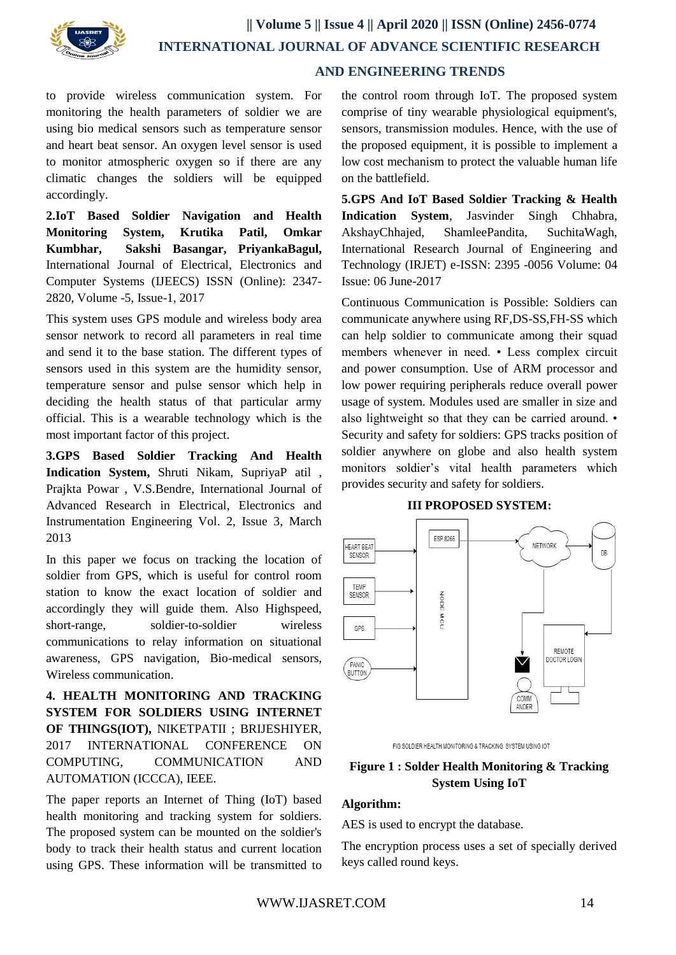

to provide wireless communication system. For monitoring the health parameters of soldier we are using bio medical sensors such as temperature sensor and heart beat sensor. An oxygen level sensor is used to monitor atmospheric oxygen so if there are any climatic changes the soldiers will be equipped accordingly.

**2.IoT Based Soldier Navigation and Health Monitoring System, Krutika Patil, Omkar Kumbhar, Sakshi Basangar, PriyankaBagul,**  International Journal of Electrical, Electronics and Computer Systems (IJEECS) ISSN (Online): 2347- 2820, Volume -5, Issue-1, 2017

This system uses GPS module and wireless body area sensor network to record all parameters in real time and send it to the base station. The different types of sensors used in this system are the humidity sensor, temperature sensor and pulse sensor which help in deciding the health status of that particular army official. This is a wearable technology which is the most important factor of this project.

**3.GPS Based Soldier Tracking And Health Indication System,** Shruti Nikam, SupriyaP atil , Prajkta Powar , V.S.Bendre, International Journal of Advanced Research in Electrical, Electronics and Instrumentation Engineering Vol. 2, Issue 3, March 2013

In this paper we focus on tracking the location of soldier from GPS, which is useful for control room station to know the exact location of soldier and accordingly they will guide them. Also Highspeed, short-range, soldier-to-soldier wireless communications to relay information on situational awareness, GPS navigation, Bio-medical sensors, Wireless communication.

**4. HEALTH MONITORING AND TRACKING SYSTEM FOR SOLDIERS USING INTERNET OF THINGS(IOT),** NIKETPATII ; BRIJESHIYER, 2017 INTERNATIONAL CONFERENCE ON COMPUTING, COMMUNICATION AND AUTOMATION (ICCCA), IEEE.

The paper reports an Internet of Thing (IoT) based health monitoring and tracking system for soldiers. The proposed system can be mounted on the soldier's body to track their health status and current location using GPS. These information will be transmitted to

the control room through IoT. The proposed system comprise of tiny wearable physiological equipment's, sensors, transmission modules. Hence, with the use of the proposed equipment, it is possible to implement a low cost mechanism to protect the valuable human life on the battlefield.

**5.GPS And IoT Based Soldier Tracking & Health Indication System**, Jasvinder Singh Chhabra, AkshayChhajed, ShamleePandita, SuchitaWagh, International Research Journal of Engineering and Technology (IRJET) e-ISSN: 2395 -0056 Volume: 04 Issue: 06 June-2017

Continuous Communication is Possible: Soldiers can communicate anywhere using RF,DS-SS,FH-SS which can help soldier to communicate among their squad members whenever in need. • Less complex circuit and power consumption. Use of ARM processor and low power requiring peripherals reduce overall power usage of system. Modules used are smaller in size and also lightweight so that they can be carried around. • Security and safety for soldiers: GPS tracks position of soldier anywhere on globe and also health system monitors soldier's vital health parameters which provides security and safety for soldiers.

## **III PROPOSED SYSTEM:**



FIG:SOLDIER HEALTH MONITORING & TRACKING SYSTEM USING IOT

## **Figure 1 : Solder Health Monitoring & Tracking System Using IoT**

## **Algorithm:**

AES is used to encrypt the database.

The encryption process uses a set of specially derived keys called round keys.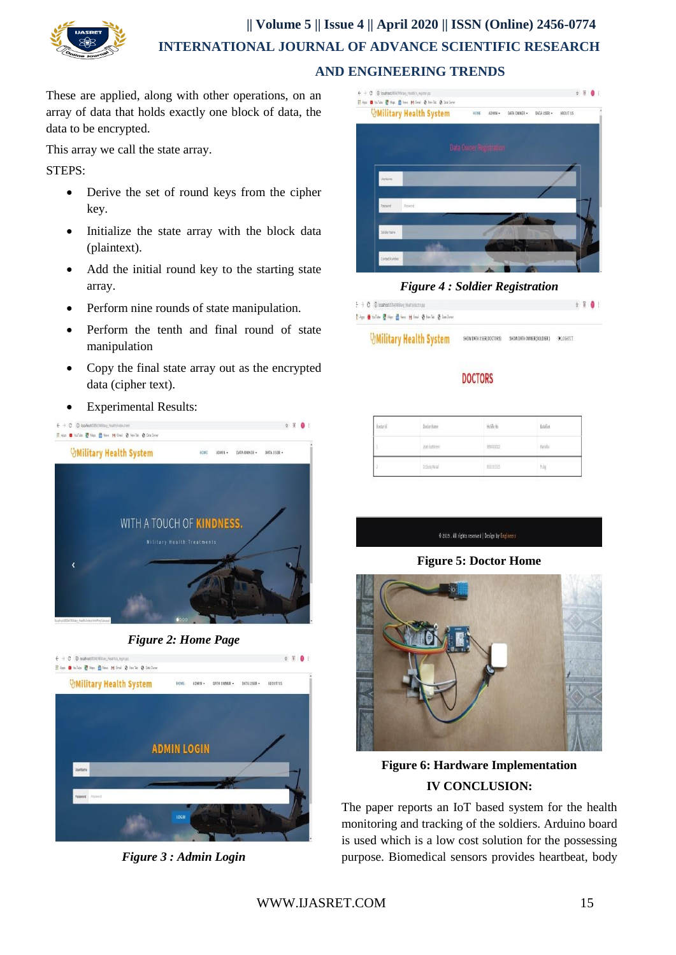

These are applied, along with other operations, on an array of data that holds exactly one block of data, the data to be encrypted.

This array we call the state array.

STEPS:

- Derive the set of round keys from the cipher key.
- Initialize the state array with the block data (plaintext).
- Add the initial round key to the starting state array.
- Perform nine rounds of state manipulation.
- Perform the tenth and final round of state manipulation
- Copy the final state array out as the encrypted data (cipher text).
- Experimental Results:







*Figure 3 : Admin Login*



*Figure 4 : Soldier Registration*

| $\div$ $\div$ $\mathbf{C}$ $\oslash$ locahost 8034/Military Hiralm/doctor.jsp |                                                                                                                                                                                                                                                                          |                                                     |  | $\qquad \qquad \dot{x} = 0$ |  |
|-------------------------------------------------------------------------------|--------------------------------------------------------------------------------------------------------------------------------------------------------------------------------------------------------------------------------------------------------------------------|-----------------------------------------------------|--|-----------------------------|--|
| Floppe @ Solide @ Maps @ News M Grail @ Memlide @ Data Gener                  |                                                                                                                                                                                                                                                                          |                                                     |  |                             |  |
| Massisson as the american                                                     | CLEAR CORP. IN 1979, STATE AND IN CONSULTANT CONSULTING<br>a baran 2002, San Marini di Bandara (Bandara) na katika sa Tanzania. Wakati wa shine wa shine wa shine wa kati<br>And Constant Property and Constant Property and Constant Property and Constant Property and | A BAY A ROLL BAY<br>the contract of the contract of |  |                             |  |

**UMilitary Health System** SHOW DATA USER/DOCTORS) SHOW DATA OWNER/SOLDIER 3 DELOGOUT

## **DOCTORS**

| $\mathfrak{b}$ actor id | <b>Doctor Name</b><br><b>SALUDAY</b> | .<br>Noble No | $\sim 0$<br><b>Billia</b> |
|-------------------------|--------------------------------------|---------------|---------------------------|
|                         | Ayat Kattmen's                       | \$890430022   | Matifix                   |
| x                       | 03es Nati                            | 1611911935    | Filip                     |

@ 2019 . All rights reserved | Design by Engineers

## **Figure 5: Doctor Home**



**Figure 6: Hardware Implementation IV CONCLUSION:**

The paper reports an IoT based system for the health monitoring and tracking of the soldiers. Arduino board is used which is a low cost solution for the possessing purpose. Biomedical sensors provides heartbeat, body